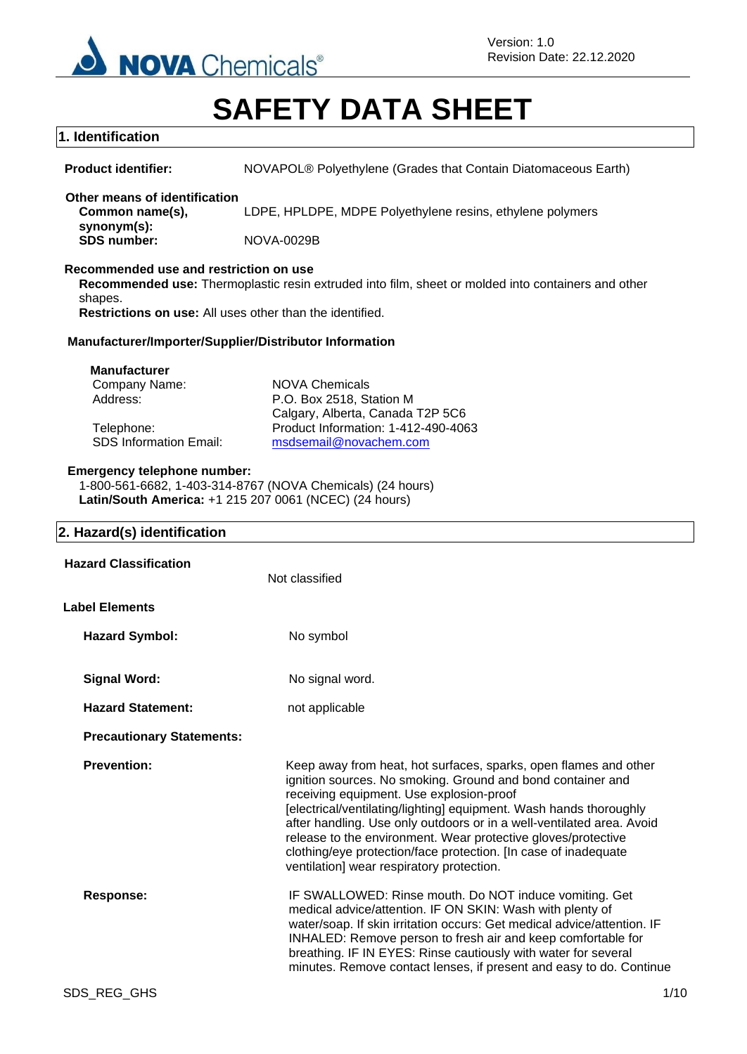

# **SAFETY DATA SHEET**

|                                                                                                                                       | a sa B<br>PAIA VIILLI                                                                                                                                                                                                                                                                                                                                                                                                                                                                                       |
|---------------------------------------------------------------------------------------------------------------------------------------|-------------------------------------------------------------------------------------------------------------------------------------------------------------------------------------------------------------------------------------------------------------------------------------------------------------------------------------------------------------------------------------------------------------------------------------------------------------------------------------------------------------|
| 1. Identification                                                                                                                     |                                                                                                                                                                                                                                                                                                                                                                                                                                                                                                             |
| <b>Product identifier:</b>                                                                                                            | NOVAPOL® Polyethylene (Grades that Contain Diatomaceous Earth)                                                                                                                                                                                                                                                                                                                                                                                                                                              |
| Other means of identification<br>Common name(s),<br>synonym(s):<br><b>SDS number:</b>                                                 | LDPE, HPLDPE, MDPE Polyethylene resins, ethylene polymers<br><b>NOVA-0029B</b>                                                                                                                                                                                                                                                                                                                                                                                                                              |
| Recommended use and restriction on use<br>shapes.                                                                                     | Recommended use: Thermoplastic resin extruded into film, sheet or molded into containers and other<br>Restrictions on use: All uses other than the identified.                                                                                                                                                                                                                                                                                                                                              |
|                                                                                                                                       | Manufacturer/Importer/Supplier/Distributor Information                                                                                                                                                                                                                                                                                                                                                                                                                                                      |
| <b>Manufacturer</b><br>Company Name:<br>Address:<br>Telephone:<br><b>SDS Information Email:</b><br><b>Emergency telephone number:</b> | <b>NOVA Chemicals</b><br>P.O. Box 2518, Station M<br>Calgary, Alberta, Canada T2P 5C6<br>Product Information: 1-412-490-4063<br>msdsemail@novachem.com<br>1-800-561-6682, 1-403-314-8767 (NOVA Chemicals) (24 hours)<br>Latin/South America: +1 215 207 0061 (NCEC) (24 hours)                                                                                                                                                                                                                              |
| 2. Hazard(s) identification                                                                                                           |                                                                                                                                                                                                                                                                                                                                                                                                                                                                                                             |
| <b>Hazard Classification</b>                                                                                                          | Not classified                                                                                                                                                                                                                                                                                                                                                                                                                                                                                              |
| <b>Label Elements</b>                                                                                                                 |                                                                                                                                                                                                                                                                                                                                                                                                                                                                                                             |
| <b>Hazard Symbol:</b>                                                                                                                 | No symbol                                                                                                                                                                                                                                                                                                                                                                                                                                                                                                   |
| <b>Signal Word:</b>                                                                                                                   | No signal word.                                                                                                                                                                                                                                                                                                                                                                                                                                                                                             |
| <b>Hazard Statement:</b>                                                                                                              | not applicable                                                                                                                                                                                                                                                                                                                                                                                                                                                                                              |
| <b>Precautionary Statements:</b>                                                                                                      |                                                                                                                                                                                                                                                                                                                                                                                                                                                                                                             |
| <b>Prevention:</b>                                                                                                                    | Keep away from heat, hot surfaces, sparks, open flames and other<br>ignition sources. No smoking. Ground and bond container and<br>receiving equipment. Use explosion-proof<br>[electrical/ventilating/lighting] equipment. Wash hands thoroughly<br>after handling. Use only outdoors or in a well-ventilated area. Avoid<br>release to the environment. Wear protective gloves/protective<br>clothing/eye protection/face protection. [In case of inadequate<br>ventilation] wear respiratory protection. |
| <b>Response:</b>                                                                                                                      | IF SWALLOWED: Rinse mouth. Do NOT induce vomiting. Get<br>medical advice/attention. IF ON SKIN: Wash with plenty of<br>water/soap. If skin irritation occurs: Get medical advice/attention. IF<br>INHALED: Remove person to fresh air and keep comfortable for<br>breathing. IF IN EYES: Rinse cautiously with water for several                                                                                                                                                                            |

minutes. Remove contact lenses, if present and easy to do. Continue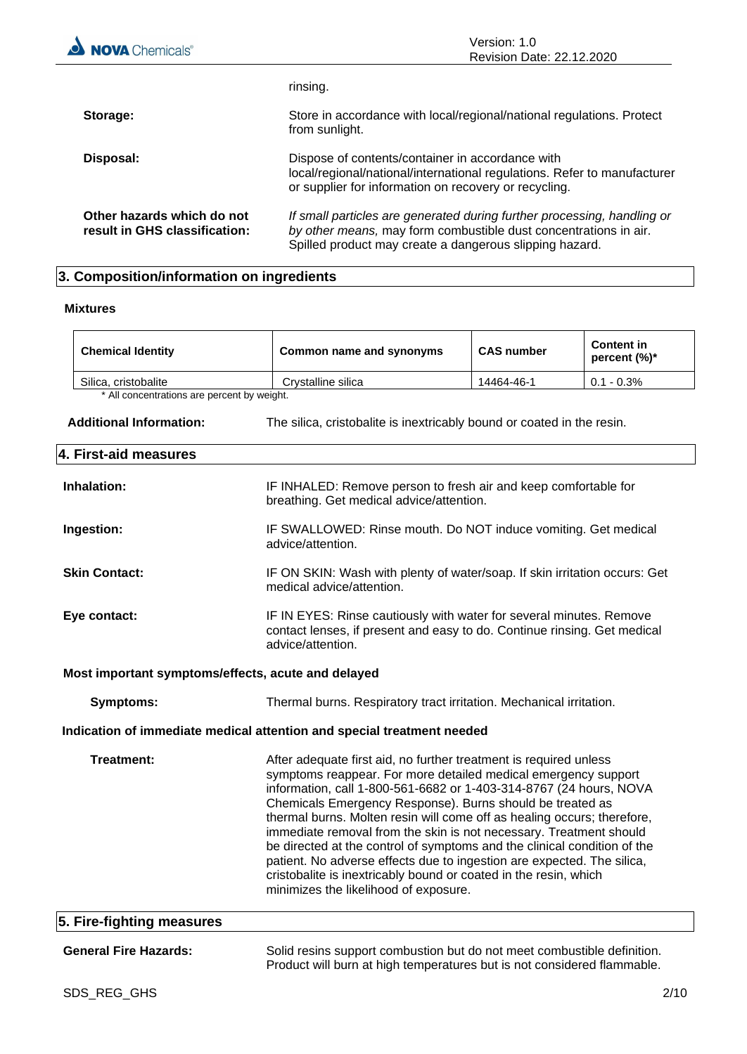|                                                             | rinsing.                                                                                                                                                                                               |
|-------------------------------------------------------------|--------------------------------------------------------------------------------------------------------------------------------------------------------------------------------------------------------|
| Storage:                                                    | Store in accordance with local/regional/national regulations. Protect<br>from sunlight.                                                                                                                |
| Disposal:                                                   | Dispose of contents/container in accordance with<br>local/regional/national/international regulations. Refer to manufacturer<br>or supplier for information on recovery or recycling.                  |
| Other hazards which do not<br>result in GHS classification: | If small particles are generated during further processing, handling or<br>by other means, may form combustible dust concentrations in air.<br>Spilled product may create a dangerous slipping hazard. |

### **3. Composition/information on ingredients**

#### **Mixtures**

 $\overline{\phantom{a}}$ 

| <b>Chemical Identity</b>                                                                                                                                                                                                                                                                                                                                                                                                                                                                                                                                                                                                                                                                                 | Common name and synonyms                                                                                                                                             | <b>CAS number</b> | <b>Content in</b><br>percent (%)* |      |
|----------------------------------------------------------------------------------------------------------------------------------------------------------------------------------------------------------------------------------------------------------------------------------------------------------------------------------------------------------------------------------------------------------------------------------------------------------------------------------------------------------------------------------------------------------------------------------------------------------------------------------------------------------------------------------------------------------|----------------------------------------------------------------------------------------------------------------------------------------------------------------------|-------------------|-----------------------------------|------|
| Silica, cristobalite                                                                                                                                                                                                                                                                                                                                                                                                                                                                                                                                                                                                                                                                                     | Crystalline silica                                                                                                                                                   | 14464-46-1        | $0.1 - 0.3\%$                     |      |
| * All concentrations are percent by weight.                                                                                                                                                                                                                                                                                                                                                                                                                                                                                                                                                                                                                                                              |                                                                                                                                                                      |                   |                                   |      |
| <b>Additional Information:</b>                                                                                                                                                                                                                                                                                                                                                                                                                                                                                                                                                                                                                                                                           | The silica, cristobalite is inextricably bound or coated in the resin.                                                                                               |                   |                                   |      |
| 4. First-aid measures                                                                                                                                                                                                                                                                                                                                                                                                                                                                                                                                                                                                                                                                                    |                                                                                                                                                                      |                   |                                   |      |
| Inhalation:                                                                                                                                                                                                                                                                                                                                                                                                                                                                                                                                                                                                                                                                                              | IF INHALED: Remove person to fresh air and keep comfortable for<br>breathing. Get medical advice/attention.                                                          |                   |                                   |      |
| Ingestion:                                                                                                                                                                                                                                                                                                                                                                                                                                                                                                                                                                                                                                                                                               | IF SWALLOWED: Rinse mouth. Do NOT induce vomiting. Get medical<br>advice/attention.                                                                                  |                   |                                   |      |
| <b>Skin Contact:</b>                                                                                                                                                                                                                                                                                                                                                                                                                                                                                                                                                                                                                                                                                     | IF ON SKIN: Wash with plenty of water/soap. If skin irritation occurs: Get<br>medical advice/attention.                                                              |                   |                                   |      |
| Eye contact:                                                                                                                                                                                                                                                                                                                                                                                                                                                                                                                                                                                                                                                                                             | IF IN EYES: Rinse cautiously with water for several minutes. Remove<br>contact lenses, if present and easy to do. Continue rinsing. Get medical<br>advice/attention. |                   |                                   |      |
| Most important symptoms/effects, acute and delayed                                                                                                                                                                                                                                                                                                                                                                                                                                                                                                                                                                                                                                                       |                                                                                                                                                                      |                   |                                   |      |
| <b>Symptoms:</b>                                                                                                                                                                                                                                                                                                                                                                                                                                                                                                                                                                                                                                                                                         | Thermal burns. Respiratory tract irritation. Mechanical irritation.                                                                                                  |                   |                                   |      |
|                                                                                                                                                                                                                                                                                                                                                                                                                                                                                                                                                                                                                                                                                                          | Indication of immediate medical attention and special treatment needed                                                                                               |                   |                                   |      |
| Treatment:<br>After adequate first aid, no further treatment is required unless<br>symptoms reappear. For more detailed medical emergency support<br>information, call 1-800-561-6682 or 1-403-314-8767 (24 hours, NOVA<br>Chemicals Emergency Response). Burns should be treated as<br>thermal burns. Molten resin will come off as healing occurs; therefore,<br>immediate removal from the skin is not necessary. Treatment should<br>be directed at the control of symptoms and the clinical condition of the<br>patient. No adverse effects due to ingestion are expected. The silica,<br>cristobalite is inextricably bound or coated in the resin, which<br>minimizes the likelihood of exposure. |                                                                                                                                                                      |                   |                                   |      |
| 5. Fire-fighting measures                                                                                                                                                                                                                                                                                                                                                                                                                                                                                                                                                                                                                                                                                |                                                                                                                                                                      |                   |                                   |      |
| <b>General Fire Hazards:</b>                                                                                                                                                                                                                                                                                                                                                                                                                                                                                                                                                                                                                                                                             | Solid resins support combustion but do not meet combustible definition.<br>Product will burn at high temperatures but is not considered flammable.                   |                   |                                   |      |
| SDS_REG_GHS                                                                                                                                                                                                                                                                                                                                                                                                                                                                                                                                                                                                                                                                                              |                                                                                                                                                                      |                   |                                   | 2/10 |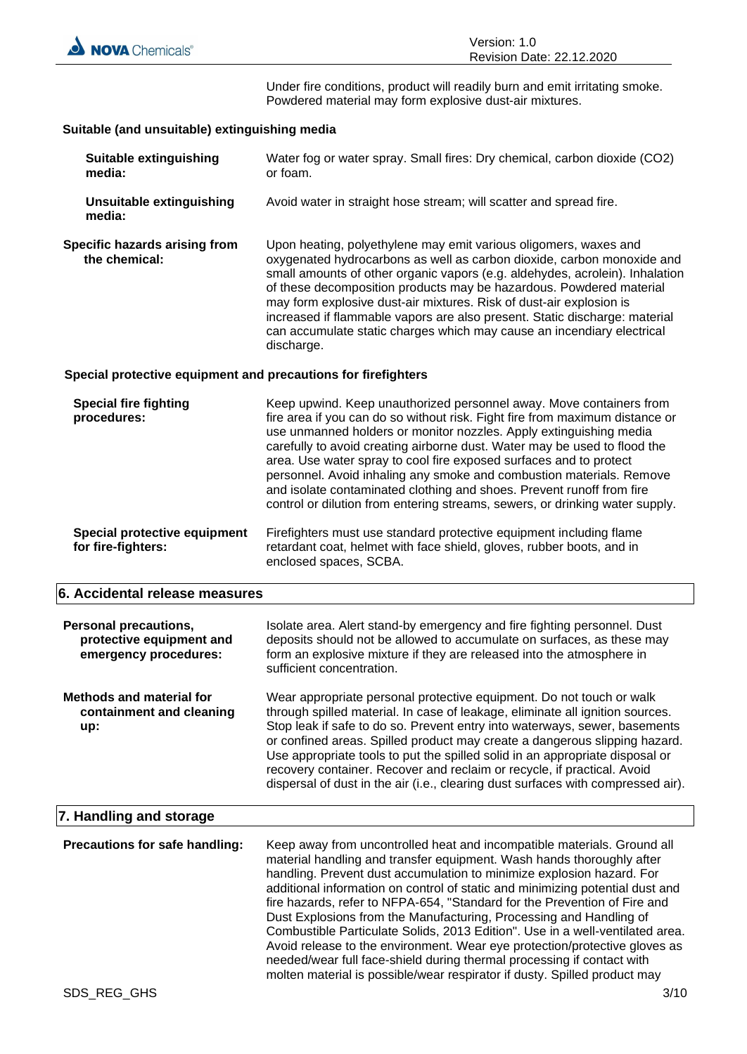

Under fire conditions, product will readily burn and emit irritating smoke. Powdered material may form explosive dust-air mixtures.

#### **Suitable (and unsuitable) extinguishing media**

| Suitable extinguishing<br>media:                                                | Water fog or water spray. Small fires: Dry chemical, carbon dioxide (CO2)<br>or foam.                                                                                                                                                                                                                                                                                                                                                                                                                                                          |
|---------------------------------------------------------------------------------|------------------------------------------------------------------------------------------------------------------------------------------------------------------------------------------------------------------------------------------------------------------------------------------------------------------------------------------------------------------------------------------------------------------------------------------------------------------------------------------------------------------------------------------------|
| Unsuitable extinguishing<br>media:                                              | Avoid water in straight hose stream; will scatter and spread fire.                                                                                                                                                                                                                                                                                                                                                                                                                                                                             |
| Specific hazards arising from<br>the chemical:                                  | Upon heating, polyethylene may emit various oligomers, waxes and<br>oxygenated hydrocarbons as well as carbon dioxide, carbon monoxide and<br>small amounts of other organic vapors (e.g. aldehydes, acrolein). Inhalation<br>of these decomposition products may be hazardous. Powdered material<br>may form explosive dust-air mixtures. Risk of dust-air explosion is<br>increased if flammable vapors are also present. Static discharge: material<br>can accumulate static charges which may cause an incendiary electrical<br>discharge. |
| An and all constant between the continued and constant the fact fluid field and |                                                                                                                                                                                                                                                                                                                                                                                                                                                                                                                                                |

#### **Special protective equipment and precautions for firefighters**

| <b>Special fire fighting</b><br>procedures:        | Keep upwind. Keep unauthorized personnel away. Move containers from<br>fire area if you can do so without risk. Fight fire from maximum distance or<br>use unmanned holders or monitor nozzles. Apply extinguishing media<br>carefully to avoid creating airborne dust. Water may be used to flood the<br>area. Use water spray to cool fire exposed surfaces and to protect<br>personnel. Avoid inhaling any smoke and combustion materials. Remove<br>and isolate contaminated clothing and shoes. Prevent runoff from fire<br>control or dilution from entering streams, sewers, or drinking water supply. |
|----------------------------------------------------|---------------------------------------------------------------------------------------------------------------------------------------------------------------------------------------------------------------------------------------------------------------------------------------------------------------------------------------------------------------------------------------------------------------------------------------------------------------------------------------------------------------------------------------------------------------------------------------------------------------|
| Special protective equipment<br>for fire-fighters: | Firefighters must use standard protective equipment including flame<br>retardant coat, helmet with face shield, gloves, rubber boots, and in<br>enclosed spaces, SCBA.                                                                                                                                                                                                                                                                                                                                                                                                                                        |

#### **6. Accidental release measures**

| Personal precautions,<br>protective equipment and<br>emergency procedures: | Isolate area. Alert stand-by emergency and fire fighting personnel. Dust<br>deposits should not be allowed to accumulate on surfaces, as these may<br>form an explosive mixture if they are released into the atmosphere in<br>sufficient concentration.                                                                                                                                                                                                                                                                                                         |
|----------------------------------------------------------------------------|------------------------------------------------------------------------------------------------------------------------------------------------------------------------------------------------------------------------------------------------------------------------------------------------------------------------------------------------------------------------------------------------------------------------------------------------------------------------------------------------------------------------------------------------------------------|
| Methods and material for<br>containment and cleaning<br>up:                | Wear appropriate personal protective equipment. Do not touch or walk<br>through spilled material. In case of leakage, eliminate all ignition sources.<br>Stop leak if safe to do so. Prevent entry into waterways, sewer, basements<br>or confined areas. Spilled product may create a dangerous slipping hazard.<br>Use appropriate tools to put the spilled solid in an appropriate disposal or<br>recovery container. Recover and reclaim or recycle, if practical. Avoid<br>dispersal of dust in the air (i.e., clearing dust surfaces with compressed air). |

### **7. Handling and storage**

| Precautions for safe handling: | Keep away from uncontrolled heat and incompatible materials. Ground all<br>material handling and transfer equipment. Wash hands thoroughly after |
|--------------------------------|--------------------------------------------------------------------------------------------------------------------------------------------------|
|                                | handling. Prevent dust accumulation to minimize explosion hazard. For                                                                            |
|                                | additional information on control of static and minimizing potential dust and                                                                    |
|                                | fire hazards, refer to NFPA-654, "Standard for the Prevention of Fire and                                                                        |
|                                | Dust Explosions from the Manufacturing, Processing and Handling of                                                                               |
|                                | Combustible Particulate Solids, 2013 Edition". Use in a well-ventilated area.                                                                    |
|                                | Avoid release to the environment. Wear eye protection/protective gloves as                                                                       |
|                                | needed/wear full face-shield during thermal processing if contact with                                                                           |
|                                | molten material is possible/wear respirator if dusty. Spilled product may                                                                        |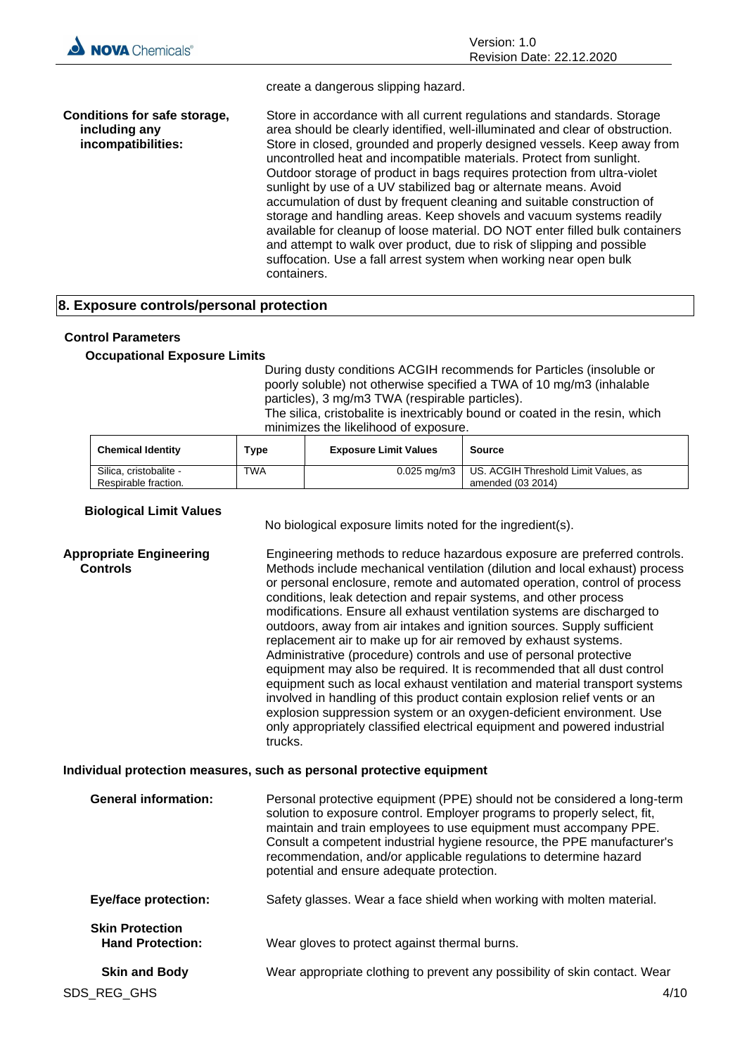

create a dangerous slipping hazard.

**Conditions for safe storage, including any incompatibilities:** Store in accordance with all current regulations and standards. Storage area should be clearly identified, well-illuminated and clear of obstruction. Store in closed, grounded and properly designed vessels. Keep away from uncontrolled heat and incompatible materials. Protect from sunlight. Outdoor storage of product in bags requires protection from ultra-violet sunlight by use of a UV stabilized bag or alternate means. Avoid accumulation of dust by frequent cleaning and suitable construction of storage and handling areas. Keep shovels and vacuum systems readily available for cleanup of loose material. DO NOT enter filled bulk containers and attempt to walk over product, due to risk of slipping and possible suffocation. Use a fall arrest system when working near open bulk containers.

#### **8. Exposure controls/personal protection**

#### **Control Parameters**

#### **Occupational Exposure Limits**

During dusty conditions ACGIH recommends for Particles (insoluble or poorly soluble) not otherwise specified a TWA of 10 mg/m3 (inhalable particles), 3 mg/m3 TWA (respirable particles). The silica, cristobalite is inextricably bound or coated in the resin, which minimizes the likelihood of exposure.

| <b>Chemical Identity</b>                       | Type       | <b>Exposure Limit Values</b> | Source                                                    |
|------------------------------------------------|------------|------------------------------|-----------------------------------------------------------|
| Silica, cristobalite -<br>Respirable fraction. | <b>TWA</b> | $0.025 \text{ ma/m}$ 3       | US. ACGIH Threshold Limit Values, as<br>amended (03 2014) |

#### **Biological Limit Values**

No biological exposure limits noted for the ingredient(s).

**Appropriate Engineering Controls** Engineering methods to reduce hazardous exposure are preferred controls. Methods include mechanical ventilation (dilution and local exhaust) process or personal enclosure, remote and automated operation, control of process conditions, leak detection and repair systems, and other process modifications. Ensure all exhaust ventilation systems are discharged to outdoors, away from air intakes and ignition sources. Supply sufficient replacement air to make up for air removed by exhaust systems. Administrative (procedure) controls and use of personal protective equipment may also be required. It is recommended that all dust control equipment such as local exhaust ventilation and material transport systems involved in handling of this product contain explosion relief vents or an explosion suppression system or an oxygen-deficient environment. Use only appropriately classified electrical equipment and powered industrial trucks.

#### **Individual protection measures, such as personal protective equipment**

| <b>General information:</b>                       | Personal protective equipment (PPE) should not be considered a long-term<br>solution to exposure control. Employer programs to properly select, fit,<br>maintain and train employees to use equipment must accompany PPE.<br>Consult a competent industrial hygiene resource, the PPE manufacturer's<br>recommendation, and/or applicable regulations to determine hazard<br>potential and ensure adequate protection. |
|---------------------------------------------------|------------------------------------------------------------------------------------------------------------------------------------------------------------------------------------------------------------------------------------------------------------------------------------------------------------------------------------------------------------------------------------------------------------------------|
| <b>Eye/face protection:</b>                       | Safety glasses. Wear a face shield when working with molten material.                                                                                                                                                                                                                                                                                                                                                  |
| <b>Skin Protection</b><br><b>Hand Protection:</b> | Wear gloves to protect against thermal burns.                                                                                                                                                                                                                                                                                                                                                                          |
| <b>Skin and Body</b>                              | Wear appropriate clothing to prevent any possibility of skin contact. Wear                                                                                                                                                                                                                                                                                                                                             |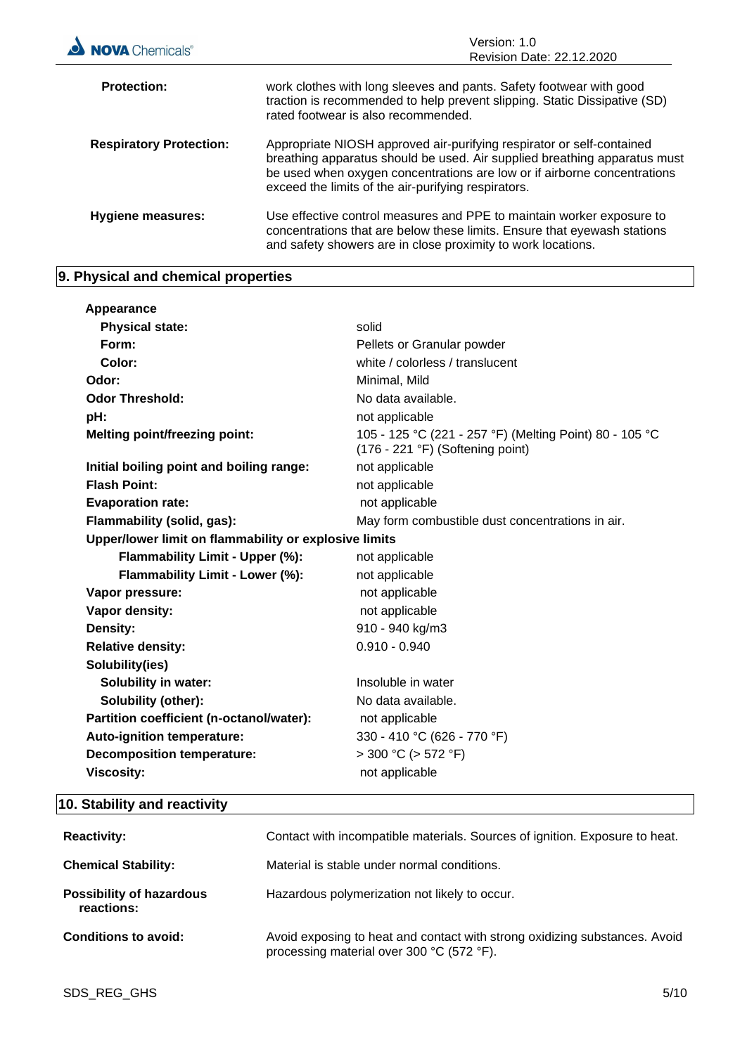| <b>NOVA</b> Chemicals®         | Version: 1.0<br>Revision Date: 22.12.2020                                                                                                                                                                                                                                             |
|--------------------------------|---------------------------------------------------------------------------------------------------------------------------------------------------------------------------------------------------------------------------------------------------------------------------------------|
| <b>Protection:</b>             | work clothes with long sleeves and pants. Safety footwear with good<br>traction is recommended to help prevent slipping. Static Dissipative (SD)<br>rated footwear is also recommended.                                                                                               |
| <b>Respiratory Protection:</b> | Appropriate NIOSH approved air-purifying respirator or self-contained<br>breathing apparatus should be used. Air supplied breathing apparatus must<br>be used when oxygen concentrations are low or if airborne concentrations<br>exceed the limits of the air-purifying respirators. |
| Hygiene measures:              | Use effective control measures and PPE to maintain worker exposure to<br>concentrations that are below these limits. Ensure that eyewash stations<br>and safety showers are in close proximity to work locations.                                                                     |

# **9. Physical and chemical properties**

| Appearance                                            |                                                                                                      |
|-------------------------------------------------------|------------------------------------------------------------------------------------------------------|
| <b>Physical state:</b>                                | solid                                                                                                |
| Form:                                                 | Pellets or Granular powder                                                                           |
| Color:                                                | white / colorless / translucent                                                                      |
| Odor:                                                 | Minimal, Mild                                                                                        |
| <b>Odor Threshold:</b>                                | No data available.                                                                                   |
| pH:                                                   | not applicable                                                                                       |
| <b>Melting point/freezing point:</b>                  | 105 - 125 °C (221 - 257 °F) (Melting Point) 80 - 105 °C<br>$(176 - 221 \degree F)$ (Softening point) |
| Initial boiling point and boiling range:              | not applicable                                                                                       |
| <b>Flash Point:</b>                                   | not applicable                                                                                       |
| <b>Evaporation rate:</b>                              | not applicable                                                                                       |
| Flammability (solid, gas):                            | May form combustible dust concentrations in air.                                                     |
| Upper/lower limit on flammability or explosive limits |                                                                                                      |
| Flammability Limit - Upper (%):                       | not applicable                                                                                       |
| Flammability Limit - Lower (%):                       | not applicable                                                                                       |
| Vapor pressure:                                       | not applicable                                                                                       |
| Vapor density:                                        | not applicable                                                                                       |
| <b>Density:</b>                                       | 910 - 940 kg/m3                                                                                      |
| <b>Relative density:</b>                              | $0.910 - 0.940$                                                                                      |
| Solubility(ies)                                       |                                                                                                      |
| <b>Solubility in water:</b>                           | Insoluble in water                                                                                   |
| Solubility (other):                                   | No data available.                                                                                   |
| Partition coefficient (n-octanol/water):              | not applicable                                                                                       |
| Auto-ignition temperature:                            | 330 - 410 °C (626 - 770 °F)                                                                          |
| <b>Decomposition temperature:</b>                     | $>$ 300 °C ( $>$ 572 °F)                                                                             |
| <b>Viscosity:</b>                                     | not applicable                                                                                       |
|                                                       |                                                                                                      |

# **10. Stability and reactivity**

| <b>Reactivity:</b>                            | Contact with incompatible materials. Sources of ignition. Exposure to heat.                                             |
|-----------------------------------------------|-------------------------------------------------------------------------------------------------------------------------|
| <b>Chemical Stability:</b>                    | Material is stable under normal conditions.                                                                             |
| <b>Possibility of hazardous</b><br>reactions: | Hazardous polymerization not likely to occur.                                                                           |
| <b>Conditions to avoid:</b>                   | Avoid exposing to heat and contact with strong oxidizing substances. Avoid<br>processing material over 300 °C (572 °F). |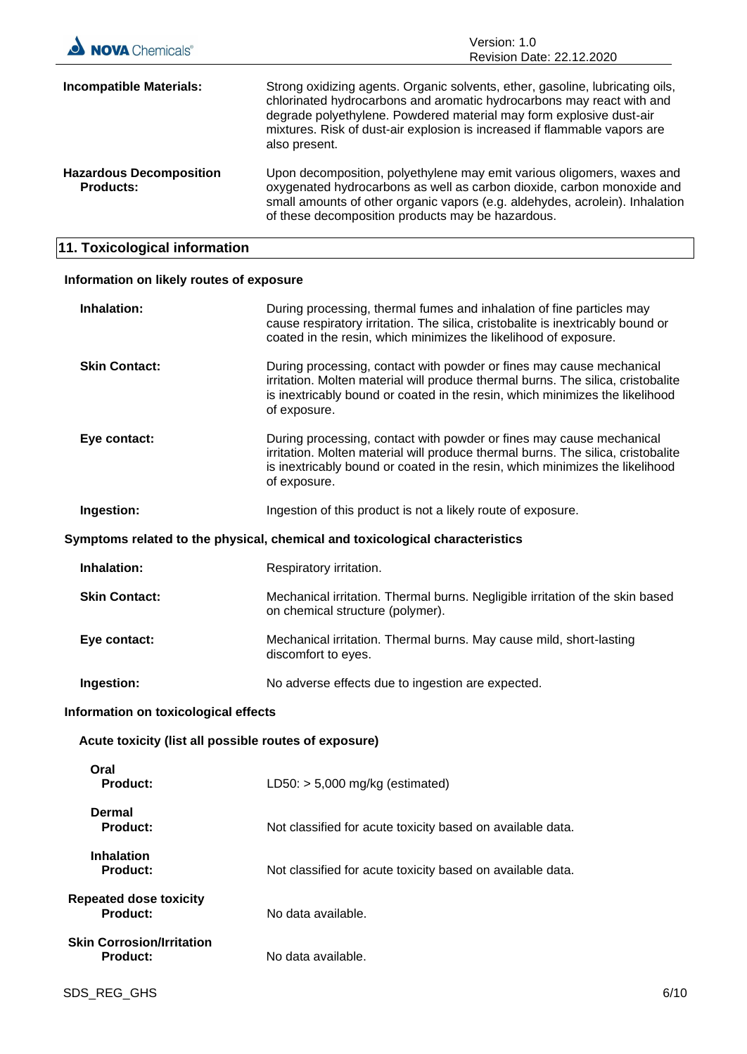| <b>NOVA</b> Chemicals®                             | Version: 1.0<br><b>Revision Date: 22.12.2020</b>                                                                                                                                                                                                                                                                            |
|----------------------------------------------------|-----------------------------------------------------------------------------------------------------------------------------------------------------------------------------------------------------------------------------------------------------------------------------------------------------------------------------|
| <b>Incompatible Materials:</b>                     | Strong oxidizing agents. Organic solvents, ether, gasoline, lubricating oils,<br>chlorinated hydrocarbons and aromatic hydrocarbons may react with and<br>degrade polyethylene. Powdered material may form explosive dust-air<br>mixtures. Risk of dust-air explosion is increased if flammable vapors are<br>also present. |
| <b>Hazardous Decomposition</b><br><b>Products:</b> | Upon decomposition, polyethylene may emit various oligomers, waxes and<br>oxygenated hydrocarbons as well as carbon dioxide, carbon monoxide and<br>small amounts of other organic vapors (e.g. aldehydes, acrolein). Inhalation<br>of these decomposition products may be hazardous.                                       |

# **11. Toxicological information**

### **Information on likely routes of exposure**

| Inhalation:                                           | During processing, thermal fumes and inhalation of fine particles may<br>cause respiratory irritation. The silica, cristobalite is inextricably bound or<br>coated in the resin, which minimizes the likelihood of exposure.                             |
|-------------------------------------------------------|----------------------------------------------------------------------------------------------------------------------------------------------------------------------------------------------------------------------------------------------------------|
| <b>Skin Contact:</b>                                  | During processing, contact with powder or fines may cause mechanical<br>irritation. Molten material will produce thermal burns. The silica, cristobalite<br>is inextricably bound or coated in the resin, which minimizes the likelihood<br>of exposure. |
| Eye contact:                                          | During processing, contact with powder or fines may cause mechanical<br>irritation. Molten material will produce thermal burns. The silica, cristobalite<br>is inextricably bound or coated in the resin, which minimizes the likelihood<br>of exposure. |
| Ingestion:                                            | Ingestion of this product is not a likely route of exposure.                                                                                                                                                                                             |
|                                                       | Symptoms related to the physical, chemical and toxicological characteristics                                                                                                                                                                             |
| Inhalation:                                           | Respiratory irritation.                                                                                                                                                                                                                                  |
| <b>Skin Contact:</b>                                  | Mechanical irritation. Thermal burns. Negligible irritation of the skin based<br>on chemical structure (polymer).                                                                                                                                        |
| Eye contact:                                          | Mechanical irritation. Thermal burns. May cause mild, short-lasting<br>discomfort to eyes.                                                                                                                                                               |
| Ingestion:                                            | No adverse effects due to ingestion are expected.                                                                                                                                                                                                        |
| Information on toxicological effects                  |                                                                                                                                                                                                                                                          |
| Acute toxicity (list all possible routes of exposure) |                                                                                                                                                                                                                                                          |
| Oral<br><b>Product:</b>                               | LD50: $> 5,000$ mg/kg (estimated)                                                                                                                                                                                                                        |
| <b>Dermal</b><br><b>Product:</b>                      | Not classified for acute toxicity based on available data.                                                                                                                                                                                               |
| <b>Inhalation</b><br><b>Product:</b>                  | Not classified for acute toxicity based on available data.                                                                                                                                                                                               |
| <b>Repeated dose toxicity</b><br><b>Product:</b>      | No data available.                                                                                                                                                                                                                                       |
| <b>Skin Corrosion/Irritation</b><br><b>Product:</b>   | No data available.                                                                                                                                                                                                                                       |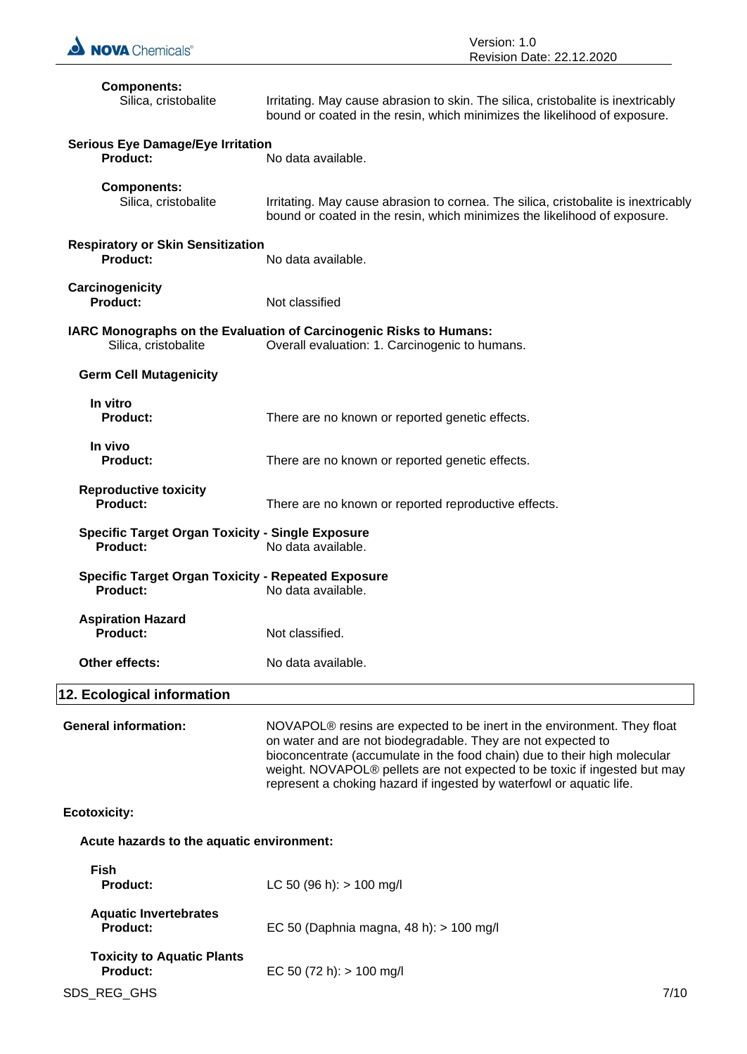

| <b>Components:</b><br>Silica, cristobalite                                   | Irritating. May cause abrasion to skin. The silica, cristobalite is inextricably<br>bound or coated in the resin, which minimizes the likelihood of exposure.                                                                                                                                                                                                                         |
|------------------------------------------------------------------------------|---------------------------------------------------------------------------------------------------------------------------------------------------------------------------------------------------------------------------------------------------------------------------------------------------------------------------------------------------------------------------------------|
| <b>Serious Eye Damage/Eye Irritation</b><br><b>Product:</b>                  | No data available.                                                                                                                                                                                                                                                                                                                                                                    |
| <b>Components:</b><br>Silica, cristobalite                                   | Irritating. May cause abrasion to cornea. The silica, cristobalite is inextricably<br>bound or coated in the resin, which minimizes the likelihood of exposure.                                                                                                                                                                                                                       |
| <b>Respiratory or Skin Sensitization</b><br>Product:                         | No data available.                                                                                                                                                                                                                                                                                                                                                                    |
| Carcinogenicity<br><b>Product:</b>                                           | Not classified                                                                                                                                                                                                                                                                                                                                                                        |
| Silica, cristobalite                                                         | IARC Monographs on the Evaluation of Carcinogenic Risks to Humans:<br>Overall evaluation: 1. Carcinogenic to humans.                                                                                                                                                                                                                                                                  |
| <b>Germ Cell Mutagenicity</b>                                                |                                                                                                                                                                                                                                                                                                                                                                                       |
| In vitro<br><b>Product:</b>                                                  | There are no known or reported genetic effects.                                                                                                                                                                                                                                                                                                                                       |
| In vivo<br><b>Product:</b>                                                   | There are no known or reported genetic effects.                                                                                                                                                                                                                                                                                                                                       |
| <b>Reproductive toxicity</b><br><b>Product:</b>                              | There are no known or reported reproductive effects.                                                                                                                                                                                                                                                                                                                                  |
| <b>Specific Target Organ Toxicity - Single Exposure</b><br><b>Product:</b>   | No data available.                                                                                                                                                                                                                                                                                                                                                                    |
| <b>Specific Target Organ Toxicity - Repeated Exposure</b><br><b>Product:</b> | No data available.                                                                                                                                                                                                                                                                                                                                                                    |
| <b>Aspiration Hazard</b><br><b>Product:</b>                                  | Not classified.                                                                                                                                                                                                                                                                                                                                                                       |
| Other effects:                                                               | No data available.                                                                                                                                                                                                                                                                                                                                                                    |
| 12. Ecological information                                                   |                                                                                                                                                                                                                                                                                                                                                                                       |
| <b>General information:</b>                                                  | NOVAPOL <sup>®</sup> resins are expected to be inert in the environment. They float<br>on water and are not biodegradable. They are not expected to<br>bioconcentrate (accumulate in the food chain) due to their high molecular<br>weight. NOVAPOL® pellets are not expected to be toxic if ingested but may<br>represent a choking hazard if ingested by waterfowl or aquatic life. |
| <b>Ecotoxicity:</b>                                                          |                                                                                                                                                                                                                                                                                                                                                                                       |
| Acute hazards to the aquatic environment:                                    |                                                                                                                                                                                                                                                                                                                                                                                       |
| <b>Fish</b><br><b>Product:</b>                                               | LC 50 (96 h): $> 100$ mg/l                                                                                                                                                                                                                                                                                                                                                            |
| <b>Aquatic Invertebrates</b><br><b>Product:</b>                              | EC 50 (Daphnia magna, 48 h): > 100 mg/l                                                                                                                                                                                                                                                                                                                                               |
| <b>Toxicity to Aquatic Plants</b><br><b>Product:</b>                         | EC 50 (72 h): > 100 mg/l                                                                                                                                                                                                                                                                                                                                                              |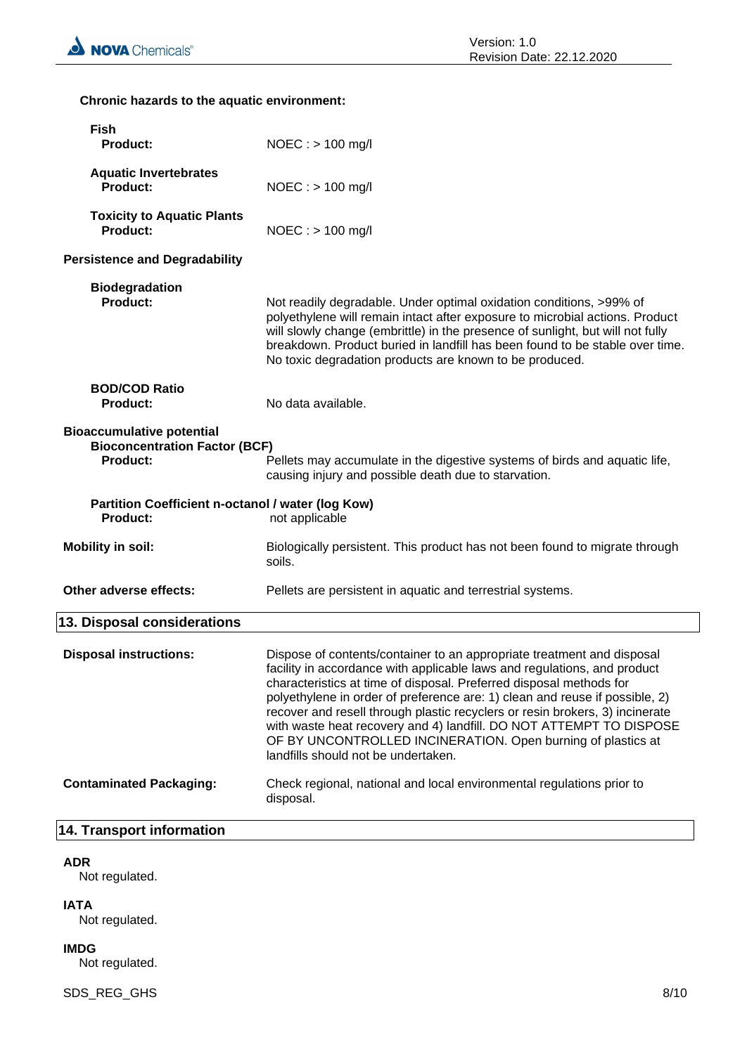**Chronic hazards to the aquatic environment:**

| <b>Fish</b><br><b>Product:</b>                                                              | $NOEC : > 100$ mg/l                                                                                                                                                                                                                                                                                                                                                                                                                                                                                                                                                    |
|---------------------------------------------------------------------------------------------|------------------------------------------------------------------------------------------------------------------------------------------------------------------------------------------------------------------------------------------------------------------------------------------------------------------------------------------------------------------------------------------------------------------------------------------------------------------------------------------------------------------------------------------------------------------------|
| <b>Aquatic Invertebrates</b><br><b>Product:</b>                                             | $NOEC : > 100$ mg/l                                                                                                                                                                                                                                                                                                                                                                                                                                                                                                                                                    |
| <b>Toxicity to Aquatic Plants</b><br><b>Product:</b>                                        | $NOEC : > 100$ mg/l                                                                                                                                                                                                                                                                                                                                                                                                                                                                                                                                                    |
| <b>Persistence and Degradability</b>                                                        |                                                                                                                                                                                                                                                                                                                                                                                                                                                                                                                                                                        |
| <b>Biodegradation</b><br><b>Product:</b>                                                    | Not readily degradable. Under optimal oxidation conditions, >99% of<br>polyethylene will remain intact after exposure to microbial actions. Product<br>will slowly change (embrittle) in the presence of sunlight, but will not fully<br>breakdown. Product buried in landfill has been found to be stable over time.<br>No toxic degradation products are known to be produced.                                                                                                                                                                                       |
| <b>BOD/COD Ratio</b><br><b>Product:</b>                                                     | No data available.                                                                                                                                                                                                                                                                                                                                                                                                                                                                                                                                                     |
| <b>Bioaccumulative potential</b><br><b>Bioconcentration Factor (BCF)</b><br><b>Product:</b> | Pellets may accumulate in the digestive systems of birds and aquatic life,<br>causing injury and possible death due to starvation.                                                                                                                                                                                                                                                                                                                                                                                                                                     |
| Partition Coefficient n-octanol / water (log Kow)<br><b>Product:</b><br>not applicable      |                                                                                                                                                                                                                                                                                                                                                                                                                                                                                                                                                                        |
| <b>Mobility in soil:</b>                                                                    | Biologically persistent. This product has not been found to migrate through<br>soils.                                                                                                                                                                                                                                                                                                                                                                                                                                                                                  |
| Other adverse effects:                                                                      | Pellets are persistent in aquatic and terrestrial systems.                                                                                                                                                                                                                                                                                                                                                                                                                                                                                                             |
| 13. Disposal considerations                                                                 |                                                                                                                                                                                                                                                                                                                                                                                                                                                                                                                                                                        |
| <b>Disposal instructions:</b>                                                               | Dispose of contents/container to an appropriate treatment and disposal<br>facility in accordance with applicable laws and regulations, and product<br>characteristics at time of disposal. Preferred disposal methods for<br>polyethylene in order of preference are: 1) clean and reuse if possible, 2)<br>recover and resell through plastic recyclers or resin brokers, 3) incinerate<br>with waste heat recovery and 4) landfill. DO NOT ATTEMPT TO DISPOSE<br>OF BY UNCONTROLLED INCINERATION. Open burning of plastics at<br>landfills should not be undertaken. |
| <b>Contaminated Packaging:</b>                                                              | Check regional, national and local environmental regulations prior to<br>disposal.                                                                                                                                                                                                                                                                                                                                                                                                                                                                                     |
| 14. Transport information                                                                   |                                                                                                                                                                                                                                                                                                                                                                                                                                                                                                                                                                        |

### **ADR**

Not regulated.

#### **IATA**

Not regulated.

#### **IMDG**

Not regulated.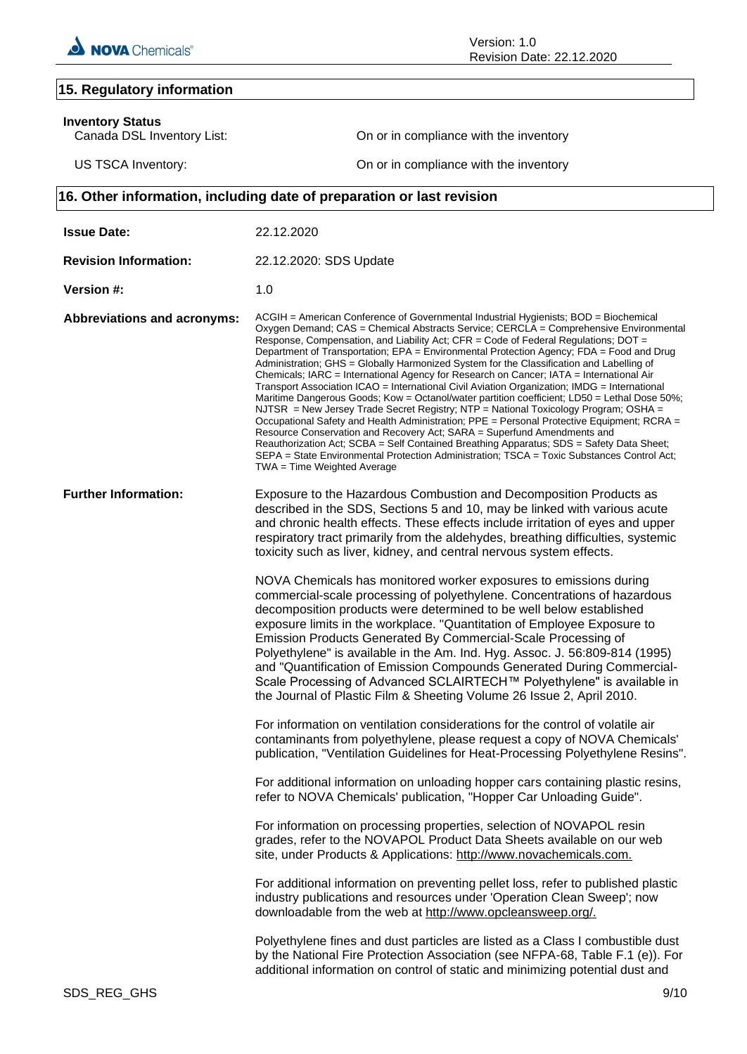

 $\overline{\phantom{a}}$ 

Version: 1.0 Revision Date: 22.12.2020

### **15. Regulatory information**

| <b>Inventory Status</b><br>Canada DSL Inventory List: | On or in compliance with the inventory                                                                                                                                                                                                                                                                                                                                                                                                                                                                                                                                                                                                                                                                                                                                                                                                                                                                                                                                                                                                                                                                                                                                                                                                                                                                                      |
|-------------------------------------------------------|-----------------------------------------------------------------------------------------------------------------------------------------------------------------------------------------------------------------------------------------------------------------------------------------------------------------------------------------------------------------------------------------------------------------------------------------------------------------------------------------------------------------------------------------------------------------------------------------------------------------------------------------------------------------------------------------------------------------------------------------------------------------------------------------------------------------------------------------------------------------------------------------------------------------------------------------------------------------------------------------------------------------------------------------------------------------------------------------------------------------------------------------------------------------------------------------------------------------------------------------------------------------------------------------------------------------------------|
| US TSCA Inventory:                                    | On or in compliance with the inventory                                                                                                                                                                                                                                                                                                                                                                                                                                                                                                                                                                                                                                                                                                                                                                                                                                                                                                                                                                                                                                                                                                                                                                                                                                                                                      |
|                                                       | 16. Other information, including date of preparation or last revision                                                                                                                                                                                                                                                                                                                                                                                                                                                                                                                                                                                                                                                                                                                                                                                                                                                                                                                                                                                                                                                                                                                                                                                                                                                       |
| <b>Issue Date:</b>                                    | 22.12.2020                                                                                                                                                                                                                                                                                                                                                                                                                                                                                                                                                                                                                                                                                                                                                                                                                                                                                                                                                                                                                                                                                                                                                                                                                                                                                                                  |
| <b>Revision Information:</b>                          | 22.12.2020: SDS Update                                                                                                                                                                                                                                                                                                                                                                                                                                                                                                                                                                                                                                                                                                                                                                                                                                                                                                                                                                                                                                                                                                                                                                                                                                                                                                      |
| Version #:                                            | 1.0                                                                                                                                                                                                                                                                                                                                                                                                                                                                                                                                                                                                                                                                                                                                                                                                                                                                                                                                                                                                                                                                                                                                                                                                                                                                                                                         |
| <b>Abbreviations and acronyms:</b>                    | ACGIH = American Conference of Governmental Industrial Hygienists; BOD = Biochemical<br>Oxygen Demand; CAS = Chemical Abstracts Service; CERCLA = Comprehensive Environmental<br>Response, Compensation, and Liability Act; CFR = Code of Federal Regulations; DOT =<br>Department of Transportation; EPA = Environmental Protection Agency; FDA = Food and Drug<br>Administration; GHS = Globally Harmonized System for the Classification and Labelling of<br>Chemicals; IARC = International Agency for Research on Cancer; IATA = International Air<br>Transport Association ICAO = International Civil Aviation Organization; IMDG = International<br>Maritime Dangerous Goods; Kow = Octanol/water partition coefficient; LD50 = Lethal Dose 50%;<br>NJTSR = New Jersey Trade Secret Registry; NTP = National Toxicology Program; OSHA =<br>Occupational Safety and Health Administration; PPE = Personal Protective Equipment; RCRA =<br>Resource Conservation and Recovery Act; SARA = Superfund Amendments and<br>Reauthorization Act; SCBA = Self Contained Breathing Apparatus; SDS = Safety Data Sheet;<br>SEPA = State Environmental Protection Administration; TSCA = Toxic Substances Control Act;<br>TWA = Time Weighted Average                                                                            |
| <b>Further Information:</b>                           | Exposure to the Hazardous Combustion and Decomposition Products as<br>described in the SDS, Sections 5 and 10, may be linked with various acute<br>and chronic health effects. These effects include irritation of eyes and upper<br>respiratory tract primarily from the aldehydes, breathing difficulties, systemic<br>toxicity such as liver, kidney, and central nervous system effects.<br>NOVA Chemicals has monitored worker exposures to emissions during<br>commercial-scale processing of polyethylene. Concentrations of hazardous<br>decomposition products were determined to be well below established<br>exposure limits in the workplace. "Quantitation of Employee Exposure to<br>Emission Products Generated By Commercial-Scale Processing of<br>Polyethylene" is available in the Am. Ind. Hyg. Assoc. J. 56:809-814 (1995)<br>and "Quantification of Emission Compounds Generated During Commercial-<br>Scale Processing of Advanced SCLAIRTECH™ Polyethylene" is available in<br>the Journal of Plastic Film & Sheeting Volume 26 Issue 2, April 2010.<br>For information on ventilation considerations for the control of volatile air<br>contaminants from polyethylene, please request a copy of NOVA Chemicals'<br>publication, "Ventilation Guidelines for Heat-Processing Polyethylene Resins". |
|                                                       | For additional information on unloading hopper cars containing plastic resins,<br>refer to NOVA Chemicals' publication, "Hopper Car Unloading Guide".<br>For information on processing properties, selection of NOVAPOL resin<br>grades, refer to the NOVAPOL Product Data Sheets available on our web<br>site, under Products & Applications: http://www.novachemicals.com.<br>For additional information on preventing pellet loss, refer to published plastic<br>industry publications and resources under 'Operation Clean Sweep'; now<br>downloadable from the web at http://www.opcleansweep.org/.<br>Polyethylene fines and dust particles are listed as a Class I combustible dust<br>by the National Fire Protection Association (see NFPA-68, Table F.1 (e)). For                                                                                                                                                                                                                                                                                                                                                                                                                                                                                                                                                 |

additional information on control of static and minimizing potential dust and